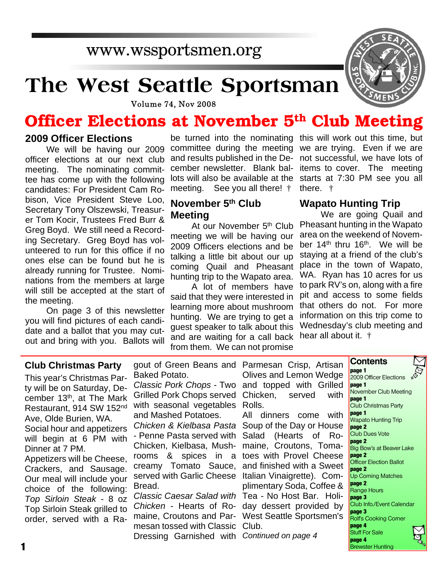# **The West Seattle Sportsman**



**Volume 74, Nov 2008** 

## **Officer Elections at November 5th Club Meeting**

### **2009 Officer Elections**

We will be having our 2009 officer elections at our next club meeting. The nominating committee has come up with the following candidates: For President Cam Robison, Vice President Steve Loo, Secretary Tony Olszewski, Treasurer Tom Kocir, Trustees Fred Burr & Greg Boyd. We still need a Recording Secretary. Greg Boyd has volunteered to run for this office if no ones else can be found but he is already running for Trustee. Nominations from the members at large will still be accepted at the start of the meeting.

On page 3 of this newsletter you will find pictures of each candidate and a ballot that you may cutout and bring with you. Ballots will

and results published in the December newsletter. Blank balmeeting. See you all there! †

### **November 5th Club Meeting**

At our November 5<sup>th</sup> Club meeting we will be having our 2009 Officers elections and be talking a little bit about our up coming Quail and Pheasant hunting trip to the Wapato area.

A lot of members have said that they were interested in learning more about mushroom hunting. We are trying to get a guest speaker to talk about this and are waiting for a call back hear all about it. † from them. We can not promise

be turned into the nominating this will work out this time, but committee during the meeting we are trying. Even if we are lots will also be available at the starts at 7:30 PM see you all not successful, we have lots of items to cover. The meeting there. †

### **Wapato Hunting Trip**

We are going Quail and Pheasant hunting in the Wapato area on the weekend of November 14<sup>th</sup> thru 16<sup>th</sup>. We will be staying at a friend of the club's place in the town of Wapato, WA. Ryan has 10 acres for us to park RV's on, along with a fire pit and access to some fields that others do not. For more information on this trip come to Wednesday's club meeting and

> **Contents page 1**

### **Club Christmas Party**

This year's Christmas Party will be on Saturday, December 13<sup>th</sup>, at The Mark Restaurant, 914 SW 152nd Ave, Olde Burien, WA. Social hour and appetizers will begin at 6 PM with Dinner at 7 PM. Appetizers will be Cheese, Crackers, and Sausage. Our meal will include your choice of the following: *Top Sirloin Steak* - 8 oz Top Sirloin Steak grilled to order, served with a Ra-

gout of Green Beans and Parmesan Crisp, Artisan Baked Potato.

*Classic Pork Chops* - Two and topped with Grilled Grilled Pork Chops served Chicken, served with with seasonal vegetables Rolls. and Mashed Potatoes.

*Chicken & Kielbasa Pasta* Soup of the Day or House - Penne Pasta served with Salad (Hearts of Ro-Chicken, Kielbasa, Mush-maine, Croutons, Tomarooms & spices in a toes with Provel Cheese creamy Tomato Sauce, and finished with a Sweet served with Garlic Cheese Italian Vinaigrette). Com-Bread.

*Classic Caesar Salad with* Tea - No Host Bar. Holi-*Chicken* - Hearts of Ro-day dessert provided by maine, Croutons and Par-West Seattle Sportsmen's mesan tossed with Classic Club. Dressing Garnished with *Continued on page 4*

Olives and Lemon Wedge

All dinners come with plimentary Soda, Coffee &

2009 Officer Elections **page 1** November Club Meeting **page 1** Club Christmas Party **page 1** Wapato Hunting Trip **page 2** Club Dues Vote **page 2** Big Bow's at Beaver Lake **page 2** Officer Election Ballot **page 2** Up Coming Matches **page 2** Range Hours **page 3** Club Info./Event Calendar **page 3** Rolf's Cooking Corner **page 4** Stuff For Sale **page 4** Brewster Hunting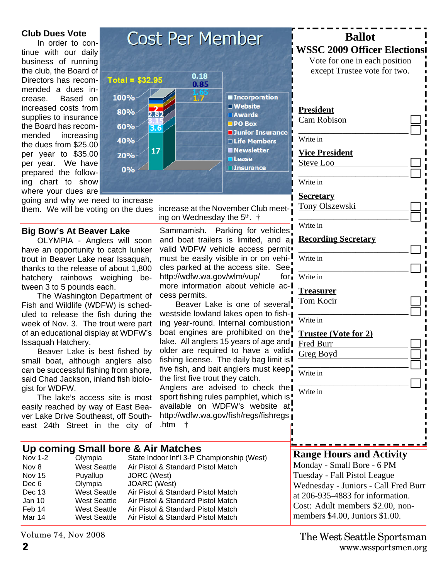### **Club Dues Vote**

In order to continue with our daily business of running the club, the Board of Directors has recommended a dues increase. Based on increased costs from supplies to insurance the Board has recommended increasing the dues from \$25.00 per year to \$35.00 per year. We have prepared the following chart to show where your dues are

going and why we need to increase them. We will be voting on the dues increase at the November Club meet-

### **Big Bow's At Beaver Lake**

OLYMPIA - Anglers will soon have an opportunity to catch lunker trout in Beaver Lake near Issaquah, thanks to the release of about 1,800 hatchery rainbows weighing between 3 to 5 pounds each.

The Washington Department of Fish and Wildlife (WDFW) is scheduled to release the fish during the week of Nov. 3. The trout were part of an educational display at WDFW's Issaquah Hatchery.

Beaver Lake is best fished by small boat, although anglers also can be successful fishing from shore, said Chad Jackson, inland fish biologist for WDFW.

The lake's access site is most easily reached by way of East Beaver Lake Drive Southeast, off Southeast 24th Street in the city of

**Up coming Small bore & Air Matches**<br>Nov 1-2 Olympia State Indoor Int'l 3-P C

Dec 6 Olympia JOARC (West)<br>Dec 13 West Seattle Air Pistol & Sta

Nov 8 West Seattle Air Pistol & Standard Pistol Match<br>Nov 15 Puvallup JORC (West) Puyallup JORC (West)<br>Olympia JOARC (West)

Dec 13 West Seattle Air Pistol & Standard Pistol Match Jan 10 West Seattle Air Pistol & Standard Pistol Match

Mar 14 West Seattle Air Pistol & Standard Pistol Match



ing on Wednesday the 5<sup>th</sup>. †

Sammamish. Parking for vehicles and boat trailers is limited, and a valid WDFW vehicle access permit must be easily visible in or on vehicles parked at the access site. See, http://wdfw.wa.gov/wlm/vup/ for more information about vehicle access permits.

Beaver Lake is one of several! westside lowland lakes open to fishing year-round. Internal combustion " boat engines are prohibited on the! lake. All anglers 15 years of age and older are required to have a valid fishing license. The daily bag limit is five fish, and bait anglers must keep the first five trout they catch.

Anglers are advised to check the sport fishing rules pamphlet, which is! available on WDFW's website at http://wdfw.wa.gov/fish/regs/fishregs .htm †

State Indoor Int'l 3-P Championship (West)

Air Pistol & Standard Pistol Match

### **Range Hours and Activity** Monday - Small Bore - 6 PM

Tuesday - Fall Pistol League Wednesday - Juniors - Call Fred Burr at 206-935-4883 for information. Cost: Adult members \$2.00, nonmembers \$4.00, Juniors \$1.00.

**Ballot WSSC 2009 Officer Elections** Vote for one in each position except Trustee vote for two.

\_\_\_\_\_\_\_\_\_\_\_\_\_\_\_\_\_\_\_\_\_\_\_\_\_

\_\_\_\_\_\_\_\_\_\_\_\_\_\_\_\_\_\_\_\_\_\_\_\_\_

\_\_\_\_\_\_\_\_\_\_\_\_\_\_\_\_\_\_\_\_\_\_\_\_\_

\_\_\_\_\_\_\_\_\_\_\_\_\_\_\_\_\_\_\_\_\_\_\_\_\_

\_\_\_\_\_\_\_\_\_\_\_\_\_\_\_\_\_\_\_\_\_\_\_\_\_

\_\_\_\_\_\_\_\_\_\_\_\_\_\_\_\_\_\_\_\_\_\_\_\_\_

\_\_\_\_\_\_\_\_\_\_\_\_\_\_\_\_\_\_\_\_\_\_\_\_\_

\_\_\_\_\_\_\_\_\_\_\_\_\_\_\_\_\_\_\_\_\_\_\_\_\_

**President** Cam Robison

Write in

Write in

Write in

Write in

Write in

Write in

Write in

Write in

Fred Burr Greg Boyd

**Treasurer** Tom Kocir

**Secretary**

**Vice President** Steve Loo

Tony Olszewski

**Recording Secretary**

**Trustee (Vote for 2)**

Volume 74, Nov 2008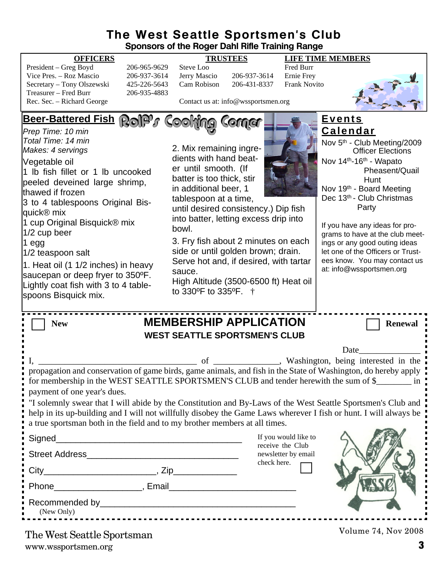### **The West Seattle Sportsmen's Club Sponsors of the Roger Dahl Rifle Training Range**

| President – Greg Boyd      | 206-965-9629 | Steve Loo                           |              | <b>Fred Burr</b> |
|----------------------------|--------------|-------------------------------------|--------------|------------------|
| Vice Pres. – Roz Mascio    | 206-937-3614 | Jerry Mascio                        | 206-937-3614 | Ernie Fre        |
| Secretary – Tony Olszewski | 425-226-5643 | Cam Robison                         | 206-431-8337 | Frank No         |
| Treasurer – Fred Burr      | 206-935-4883 |                                     |              |                  |
| Rec. Sec. – Richard George |              | Contact us at: info@wssportsmen.org |              |                  |

**OFFICERS TRUSTEES LIFE TIME MEMBERS**

Cam Robison 206-431-8337 Frank Novito



Contact us at: info@wssportsmen.org

**Beer-Battered Fish Events Calendar** *Prep Time: 10 min Total Time: 14 min* Nov 5th - Club Meeting/2009 2. Mix remaining ingre-*Makes: 4 servings* Officer Elections dients with hand beat-Nov 14th-16th - Wapato Vegetable oil er until smooth. (If Pheasent/Quail 1 lb fish fillet or 1 lb uncooked batter is too thick, stir Hunt peeled deveined large shrimp, in additional beer, 1 Nov 19th - Board Meeting thawed if frozen Dec 13<sup>th</sup> - Club Christmas tablespoon at a time, 3 to 4 tablespoons Original Bis- Party until desired consistency.) Dip fish quick® mix into batter, letting excess drip into 1 cup Original Bisquick® mix If you have any ideas for probowl. 1/2 cup beer grams to have at the club meet-3. Fry fish about 2 minutes on each 1 egg ings or any good outing ideas side or until golden brown; drain. 1/2 teaspoon salt let one of the Officers or Trustees know. You may contact us Serve hot and, if desired, with tartar 1. Heat oil (1 1/2 inches) in heavy at: info@wssportsmen.org sauce. saucepan or deep fryer to 350ºF. High Altitude (3500-6500 ft) Heat oil Lightly coat fish with 3 to 4 tableto 330ºF to 335ºF. † spoons Bisquick mix. **New MEMBERSHIP APPLICATION** Renewal **WEST SEATTLE SPORTSMEN'S CLUB** Date I, Washington, being interested in the propagation and conservation of game birds, game animals, and fish in the State of Washington, do hereby apply for membership in the WEST SEATTLE SPORTSMEN'S CLUB and tender herewith the sum of \$\_\_\_\_\_\_\_\_\_ in payment of one year's dues. "I solemnly swear that I will abide by the Constitution and By-Laws of the West Seattle Sportsmen's Club and help in its up-building and I will not willfully disobey the Game Laws wherever I fish or hunt. I will always be a true sportsman both in the field and to my brother members at all times. If you would like to Signed receive the Club Street Address\_\_\_\_\_\_\_\_\_\_\_\_\_\_\_\_\_\_\_\_\_\_\_\_\_\_\_\_\_\_\_ newsletter by email check here.  $City$   $City$   $Zip$ Phone **Example 2**, Email Recommended by  $\Box$ (New Only) Volume 74, Nov 2008

www.wssportsmen.org **3** The West Seattle Sportsman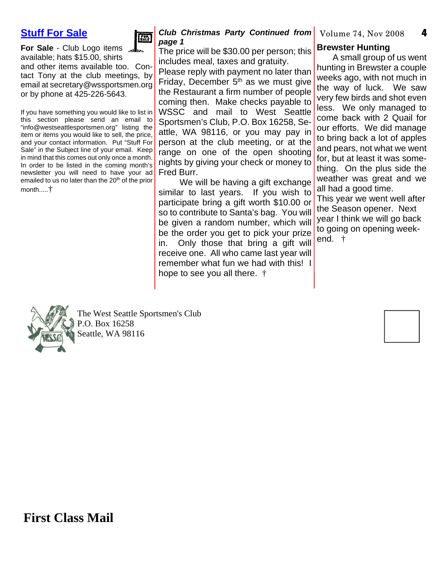**4**

### **Stuff For Sale**



**For Sale** - Club Logo items  $\mathbf{F}$ available; hats \$15.00, shirts and other items available too. Contact Tony at the club meetings, by email at secretary@wssportsmen.org or by phone at 425-226-5643.

If you have something you would like to list in this section please send an email to "info@westseattlesportsmen.org" listing the item or items you would like to sell, the price, and your contact information. Put "Stuff For Sale" in the Subject line of your email. Keep in mind that this comes out only once a month. In order to be listed in the coming month's newsletter you will need to have your ad emailed to us no later than the 20<sup>th</sup> of the prior month.....†

### **Club Christmas Party Continued from** Volume 74, Nov 2008 *page 1*

The price will be \$30.00 per person; this includes meal, taxes and gratuity.

Please reply with payment no later than Friday, December  $5<sup>th</sup>$  as we must give the Restaurant a firm number of people coming then. Make checks payable to WSSC and mail to West Seattle Sportsmen's Club, P.O. Box 16258, Seattle, WA 98116, or you may pay in person at the club meeting, or at the range on one of the open shooting nights by giving your check or money to Fred Burr.

We will be having a gift exchange similar to last years. If you wish to participate bring a gift worth \$10.00 or so to contribute to Santa's bag. You will be given a random number, which will be the order you get to pick your prize in. Only those that bring a gift will receive one. All who came last year will remember what fun we had with this! I hope to see you all there. †

### **Brewster Hunting**

A small group of us went hunting in Brewster a couple weeks ago, with not much in the way of luck. We saw very few birds and shot even less. We only managed to come back with 2 Quail for our efforts. We did manage to bring back a lot of apples and pears, not what we went for, but at least it was something. On the plus side the weather was great and we all had a good time.

This year we went well after the Season opener. Next year I think we will go back to going on opening weekend. †



The West Seattle Sportsmen's Club P.O. Box 16258 Seattle, WA 98116

**First Class Mail**